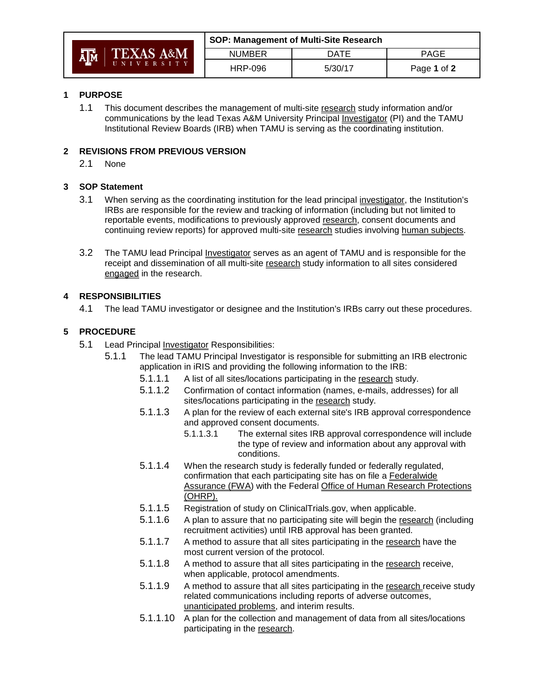| រក្រុ<br><b>TEXAS A&amp;M</b><br><b>II N I V E R S I T Y</b> | SOP: Management of Multi-Site Research |             |             |
|--------------------------------------------------------------|----------------------------------------|-------------|-------------|
|                                                              | <b>NUMBER</b>                          | <b>DATE</b> | PAGE        |
|                                                              | <b>HRP-096</b>                         | 5/30/17     | Page 1 of 2 |

### **1 PURPOSE**

1.1 This document describes the management of multi-site research study information and/or communications by the lead Texas A&M University Principal Investigator (PI) and the TAMU Institutional Review Boards (IRB) when TAMU is serving as the coordinating institution.

## **2 REVISIONS FROM PREVIOUS VERSION**

2.1 None

## **3 SOP Statement**

- 3.1 When serving as the coordinating institution for the lead principal investigator, the Institution's IRBs are responsible for the review and tracking of information (including but not limited to reportable events, modifications to previously approved research, consent documents and continuing review reports) for approved multi-site research studies involving human subjects.
- 3.2 The TAMU lead Principal Investigator serves as an agent of TAMU and is responsible for the receipt and dissemination of all multi-site research study information to all sites considered engaged in the research.

## **4 RESPONSIBILITIES**

4.1 The lead TAMU investigator or designee and the Institution's IRBs carry out these procedures.

## **5 PROCEDURE**

- 5.1 Lead Principal Investigator Responsibilities:
	- 5.1.1 The lead TAMU Principal Investigator is responsible for submitting an IRB electronic application in iRIS and providing the following information to the IRB:
		- 5.1.1.1 A list of all sites/locations participating in the research study.
		- 5.1.1.2 Confirmation of contact information (names, e-mails, addresses) for all sites/locations participating in the research study.
		- 5.1.1.3 A plan for the review of each external site's IRB approval correspondence and approved consent documents.
			- 5.1.1.3.1 The external sites IRB approval correspondence will include the type of review and information about any approval with conditions.
		- 5.1.1.4 When the research study is federally funded or federally regulated, confirmation that each participating site has on file a Federalwide Assurance (FWA) with the Federal Office of Human Research Protections (OHRP).
		- 5.1.1.5 Registration of study on ClinicalTrials.gov, when applicable.
		- 5.1.1.6 A plan to assure that no participating site will begin the research (including recruitment activities) until IRB approval has been granted.
		- 5.1.1.7 A method to assure that all sites participating in the research have the most current version of the protocol.
		- 5.1.1.8 A method to assure that all sites participating in the research receive, when applicable, protocol amendments.
		- 5.1.1.9 A method to assure that all sites participating in the research receive study related communications including reports of adverse outcomes, unanticipated problems, and interim results.
		- 5.1.1.10 A plan for the collection and management of data from all sites/locations participating in the research.